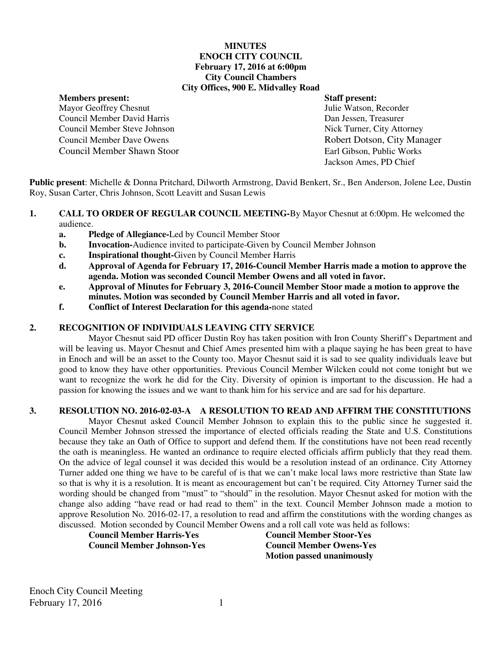#### **MINUTES ENOCH CITY COUNCIL February 17, 2016 at 6:00pm City Council Chambers City Offices, 900 E. Midvalley Road**

**Members present: Staff present:** 

Mayor Geoffrey Chesnut Sullie Watson, Recorder Council Member David Harris Dan Jessen, Treasurer Council Member Steve Johnson Nick Turner, City Attorney Council Member Dave Owens **Robert Dotson, City Manager** Council Member Shawn Stoor Earl Gibson, Public Works

Jackson Ames, PD Chief

**Public present**: Michelle & Donna Pritchard, Dilworth Armstrong, David Benkert, Sr., Ben Anderson, Jolene Lee, Dustin Roy, Susan Carter, Chris Johnson, Scott Leavitt and Susan Lewis

- **1. CALL TO ORDER OF REGULAR COUNCIL MEETING-By Mayor Chesnut at 6:00pm. He welcomed the** audience.
	- **a. Pledge of Allegiance-**Led by Council Member Stoor
	- **b.** Invocation-Audience invited to participate-Given by Council Member Johnson
	- **c. Inspirational thought-**Given by Council Member Harris
	- **d. Approval of Agenda for February 17, 2016-Council Member Harris made a motion to approve the agenda. Motion was seconded Council Member Owens and all voted in favor.**
	- **e. Approval of Minutes for February 3, 2016-Council Member Stoor made a motion to approve the minutes. Motion was seconded by Council Member Harris and all voted in favor.**
	- **f. Conflict of Interest Declaration for this agenda-**none stated

#### **2. RECOGNITION OF INDIVIDUALS LEAVING CITY SERVICE**

Mayor Chesnut said PD officer Dustin Roy has taken position with Iron County Sheriff's Department and will be leaving us. Mayor Chesnut and Chief Ames presented him with a plaque saying he has been great to have in Enoch and will be an asset to the County too. Mayor Chesnut said it is sad to see quality individuals leave but good to know they have other opportunities. Previous Council Member Wilcken could not come tonight but we want to recognize the work he did for the City. Diversity of opinion is important to the discussion. He had a passion for knowing the issues and we want to thank him for his service and are sad for his departure.

## **3. RESOLUTION NO. 2016-02-03-A A RESOLUTION TO READ AND AFFIRM THE CONSTITUTIONS**

Mayor Chesnut asked Council Member Johnson to explain this to the public since he suggested it. Council Member Johnson stressed the importance of elected officials reading the State and U.S. Constitutions because they take an Oath of Office to support and defend them. If the constitutions have not been read recently the oath is meaningless. He wanted an ordinance to require elected officials affirm publicly that they read them. On the advice of legal counsel it was decided this would be a resolution instead of an ordinance. City Attorney Turner added one thing we have to be careful of is that we can't make local laws more restrictive than State law so that is why it is a resolution. It is meant as encouragement but can't be required. City Attorney Turner said the wording should be changed from "must" to "should" in the resolution. Mayor Chesnut asked for motion with the change also adding "have read or had read to them" in the text. Council Member Johnson made a motion to approve Resolution No. 2016-02-17, a resolution to read and affirm the constitutions with the wording changes as discussed. Motion seconded by Council Member Owens and a roll call vote was held as follows:

**Council Member Harris-Yes Council Member Stoor-Yes Council Member Johnson-Yes Council Member Owens-Yes** 

 **Motion passed unanimously**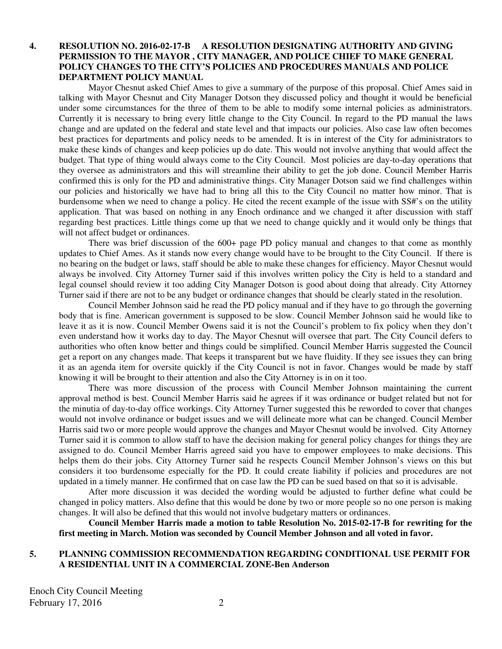#### **4. RESOLUTION NO. 2016-02-17-B A RESOLUTION DESIGNATING AUTHORITY AND GIVING PERMISSION TO THE MAYOR , CITY MANAGER, AND POLICE CHIEF TO MAKE GENERAL POLICY CHANGES TO THE CITY'S POLICIES AND PROCEDURES MANUALS AND POLICE DEPARTMENT POLICY MANUAL**

Mayor Chesnut asked Chief Ames to give a summary of the purpose of this proposal. Chief Ames said in talking with Mayor Chesnut and City Manager Dotson they discussed policy and thought it would be beneficial under some circumstances for the three of them to be able to modify some internal policies as administrators. Currently it is necessary to bring every little change to the City Council. In regard to the PD manual the laws change and are updated on the federal and state level and that impacts our policies. Also case law often becomes best practices for departments and policy needs to be amended. It is in interest of the City for administrators to make these kinds of changes and keep policies up do date. This would not involve anything that would affect the budget. That type of thing would always come to the City Council. Most policies are day-to-day operations that they oversee as administrators and this will streamline their ability to get the job done. Council Member Harris confirmed this is only for the PD and administrative things. City Manager Dotson said we find challenges within our policies and historically we have had to bring all this to the City Council no matter how minor. That is burdensome when we need to change a policy. He cited the recent example of the issue with SS#'s on the utility application. That was based on nothing in any Enoch ordinance and we changed it after discussion with staff regarding best practices. Little things come up that we need to change quickly and it would only be things that will not affect budget or ordinances.

There was brief discussion of the 600+ page PD policy manual and changes to that come as monthly updates to Chief Ames. As it stands now every change would have to be brought to the City Council. If there is no bearing on the budget or laws, staff should be able to make these changes for efficiency. Mayor Chesnut would always be involved. City Attorney Turner said if this involves written policy the City is held to a standard and legal counsel should review it too adding City Manager Dotson is good about doing that already. City Attorney Turner said if there are not to be any budget or ordinance changes that should be clearly stated in the resolution.

Council Member Johnson said he read the PD policy manual and if they have to go through the governing body that is fine. American government is supposed to be slow. Council Member Johnson said he would like to leave it as it is now. Council Member Owens said it is not the Council's problem to fix policy when they don't even understand how it works day to day. The Mayor Chesnut will oversee that part. The City Council defers to authorities who often know better and things could be simplified. Council Member Harris suggested the Council get a report on any changes made. That keeps it transparent but we have fluidity. If they see issues they can bring it as an agenda item for oversite quickly if the City Council is not in favor. Changes would be made by staff knowing it will be brought to their attention and also the City Attorney is in on it too.

There was more discussion of the process with Council Member Johnson maintaining the current approval method is best. Council Member Harris said he agrees if it was ordinance or budget related but not for the minutia of day-to-day office workings. City Attorney Turner suggested this be reworded to cover that changes would not involve ordinance or budget issues and we will delineate more what can be changed. Council Member Harris said two or more people would approve the changes and Mayor Chesnut would be involved. City Attorney Turner said it is common to allow staff to have the decision making for general policy changes for things they are assigned to do. Council Member Harris agreed said you have to empower employees to make decisions. This helps them do their jobs. City Attorney Turner said he respects Council Member Johnson's views on this but considers it too burdensome especially for the PD. It could create liability if policies and procedures are not updated in a timely manner. He confirmed that on case law the PD can be sued based on that so it is advisable.

After more discussion it was decided the wording would be adjusted to further define what could be changed in policy matters. Also define that this would be done by two or more people so no one person is making changes. It will also be defined that this would not involve budgetary matters or ordinances.

**Council Member Harris made a motion to table Resolution No. 2015-02-17-B for rewriting for the first meeting in March. Motion was seconded by Council Member Johnson and all voted in favor.** 

#### **5. PLANNING COMMISSION RECOMMENDATION REGARDING CONDITIONAL USE PERMIT FOR A RESIDENTIAL UNIT IN A COMMERCIAL ZONE-Ben Anderson**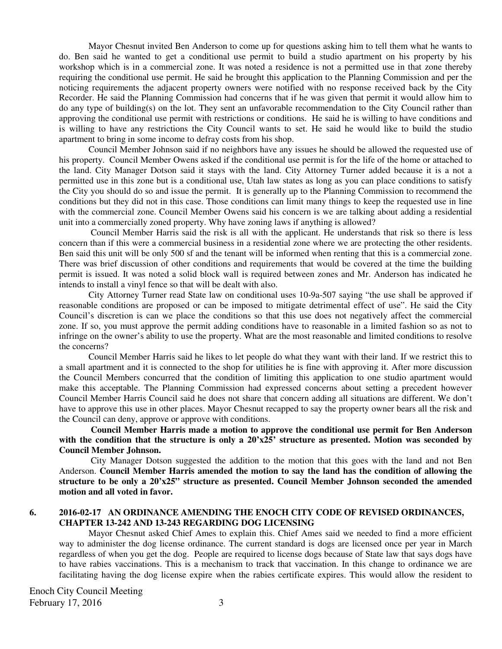Mayor Chesnut invited Ben Anderson to come up for questions asking him to tell them what he wants to do. Ben said he wanted to get a conditional use permit to build a studio apartment on his property by his workshop which is in a commercial zone. It was noted a residence is not a permitted use in that zone thereby requiring the conditional use permit. He said he brought this application to the Planning Commission and per the noticing requirements the adjacent property owners were notified with no response received back by the City Recorder. He said the Planning Commission had concerns that if he was given that permit it would allow him to do any type of building(s) on the lot. They sent an unfavorable recommendation to the City Council rather than approving the conditional use permit with restrictions or conditions. He said he is willing to have conditions and is willing to have any restrictions the City Council wants to set. He said he would like to build the studio apartment to bring in some income to defray costs from his shop.

Council Member Johnson said if no neighbors have any issues he should be allowed the requested use of his property. Council Member Owens asked if the conditional use permit is for the life of the home or attached to the land. City Manager Dotson said it stays with the land. City Attorney Turner added because it is a not a permitted use in this zone but is a conditional use, Utah law states as long as you can place conditions to satisfy the City you should do so and issue the permit.It is generally up to the Planning Commission to recommend the conditions but they did not in this case. Those conditions can limit many things to keep the requested use in line with the commercial zone. Council Member Owens said his concern is we are talking about adding a residential unit into a commercially zoned property. Why have zoning laws if anything is allowed?

 Council Member Harris said the risk is all with the applicant. He understands that risk so there is less concern than if this were a commercial business in a residential zone where we are protecting the other residents. Ben said this unit will be only 500 sf and the tenant will be informed when renting that this is a commercial zone. There was brief discussion of other conditions and requirements that would be covered at the time the building permit is issued. It was noted a solid block wall is required between zones and Mr. Anderson has indicated he intends to install a vinyl fence so that will be dealt with also.

City Attorney Turner read State law on conditional uses 10-9a-507 saying "the use shall be approved if reasonable conditions are proposed or can be imposed to mitigate detrimental effect of use". He said the City Council's discretion is can we place the conditions so that this use does not negatively affect the commercial zone. If so, you must approve the permit adding conditions have to reasonable in a limited fashion so as not to infringe on the owner's ability to use the property. What are the most reasonable and limited conditions to resolve the concerns?

Council Member Harris said he likes to let people do what they want with their land. If we restrict this to a small apartment and it is connected to the shop for utilities he is fine with approving it. After more discussion the Council Members concurred that the condition of limiting this application to one studio apartment would make this acceptable. The Planning Commission had expressed concerns about setting a precedent however Council Member Harris Council said he does not share that concern adding all situations are different. We don't have to approve this use in other places. Mayor Chesnut recapped to say the property owner bears all the risk and the Council can deny, approve or approve with conditions.

 **Council Member Harris made a motion to approve the conditional use permit for Ben Anderson with the condition that the structure is only a 20'x25' structure as presented. Motion was seconded by Council Member Johnson.** 

 City Manager Dotson suggested the addition to the motion that this goes with the land and not Ben Anderson. **Council Member Harris amended the motion to say the land has the condition of allowing the structure to be only a 20'x25" structure as presented. Council Member Johnson seconded the amended motion and all voted in favor.** 

#### **6. 2016-02-17 AN ORDINANCE AMENDING THE ENOCH CITY CODE OF REVISED ORDINANCES, CHAPTER 13-242 AND 13-243 REGARDING DOG LICENSING**

Mayor Chesnut asked Chief Ames to explain this. Chief Ames said we needed to find a more efficient way to administer the dog license ordinance. The current standard is dogs are licensed once per year in March regardless of when you get the dog. People are required to license dogs because of State law that says dogs have to have rabies vaccinations. This is a mechanism to track that vaccination. In this change to ordinance we are facilitating having the dog license expire when the rabies certificate expires. This would allow the resident to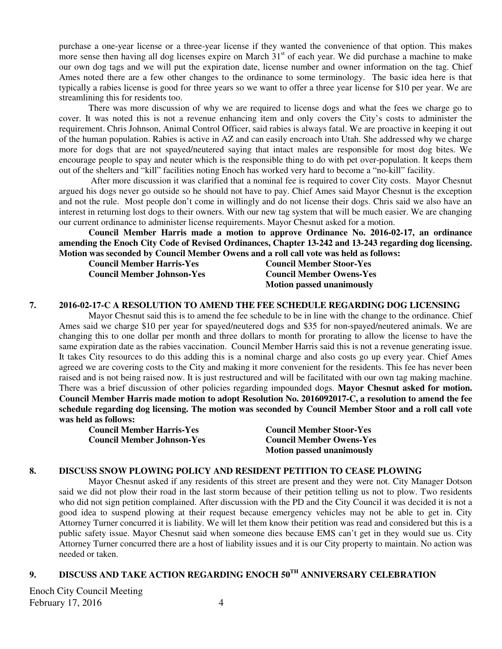purchase a one-year license or a three-year license if they wanted the convenience of that option. This makes more sense then having all dog licenses expire on March 31<sup>st</sup> of each year. We did purchase a machine to make our own dog tags and we will put the expiration date, license number and owner information on the tag. Chief Ames noted there are a few other changes to the ordinance to some terminology. The basic idea here is that typically a rabies license is good for three years so we want to offer a three year license for \$10 per year. We are streamlining this for residents too.

There was more discussion of why we are required to license dogs and what the fees we charge go to cover. It was noted this is not a revenue enhancing item and only covers the City's costs to administer the requirement. Chris Johnson, Animal Control Officer, said rabies is always fatal. We are proactive in keeping it out of the human population. Rabies is active in AZ and can easily encroach into Utah. She addressed why we charge more for dogs that are not spayed/neutered saying that intact males are responsible for most dog bites. We encourage people to spay and neuter which is the responsible thing to do with pet over-population. It keeps them out of the shelters and "kill" facilities noting Enoch has worked very hard to become a "no-kill" facility.

 After more discussion it was clarified that a nominal fee is required to cover City costs. Mayor Chesnut argued his dogs never go outside so he should not have to pay. Chief Ames said Mayor Chesnut is the exception and not the rule. Most people don't come in willingly and do not license their dogs. Chris said we also have an interest in returning lost dogs to their owners. With our new tag system that will be much easier. We are changing our current ordinance to administer license requirements. Mayor Chesnut asked for a motion.

**Council Member Harris made a motion to approve Ordinance No. 2016-02-17, an ordinance amending the Enoch City Code of Revised Ordinances, Chapter 13-242 and 13-243 regarding dog licensing. Motion was seconded by Council Member Owens and a roll call vote was held as follows:** 

**Council Member Harris-Yes Council Member Stoor-Yes Council Member Johnson-Yes Council Member Owens-Yes Motion passed unanimously** 

#### **7. 2016-02-17-C A RESOLUTION TO AMEND THE FEE SCHEDULE REGARDING DOG LICENSING**

Mayor Chesnut said this is to amend the fee schedule to be in line with the change to the ordinance. Chief Ames said we charge \$10 per year for spayed/neutered dogs and \$35 for non-spayed/neutered animals. We are changing this to one dollar per month and three dollars to month for prorating to allow the license to have the same expiration date as the rabies vaccination. Council Member Harris said this is not a revenue generating issue. It takes City resources to do this adding this is a nominal charge and also costs go up every year. Chief Ames agreed we are covering costs to the City and making it more convenient for the residents. This fee has never been raised and is not being raised now. It is just restructured and will be facilitated with our own tag making machine. There was a brief discussion of other policies regarding impounded dogs. **Mayor Chesnut asked for motion. Council Member Harris made motion to adopt Resolution No. 2016092017-C, a resolution to amend the fee schedule regarding dog licensing. The motion was seconded by Council Member Stoor and a roll call vote was held as follows:** 

**Council Member Harris-Yes Council Member Stoor-Yes Council Member Johnson-Yes Council Member Owens-Yes** 

 **Motion passed unanimously** 

#### **8. DISCUSS SNOW PLOWING POLICY AND RESIDENT PETITION TO CEASE PLOWING**

Mayor Chesnut asked if any residents of this street are present and they were not. City Manager Dotson said we did not plow their road in the last storm because of their petition telling us not to plow. Two residents who did not sign petition complained. After discussion with the PD and the City Council it was decided it is not a good idea to suspend plowing at their request because emergency vehicles may not be able to get in. City Attorney Turner concurred it is liability. We will let them know their petition was read and considered but this is a public safety issue. Mayor Chesnut said when someone dies because EMS can't get in they would sue us. City Attorney Turner concurred there are a host of liability issues and it is our City property to maintain. No action was needed or taken.

# **9. DISCUSS AND TAKE ACTION REGARDING ENOCH 50TH ANNIVERSARY CELEBRATION**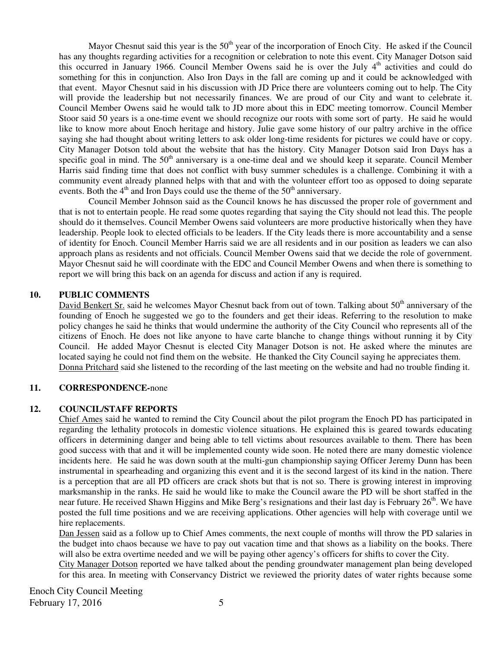Mayor Chesnut said this year is the 50<sup>th</sup> year of the incorporation of Enoch City. He asked if the Council has any thoughts regarding activities for a recognition or celebration to note this event. City Manager Dotson said this occurred in January 1966. Council Member Owens said he is over the July  $4<sup>th</sup>$  activities and could do something for this in conjunction. Also Iron Days in the fall are coming up and it could be acknowledged with that event. Mayor Chesnut said in his discussion with JD Price there are volunteers coming out to help. The City will provide the leadership but not necessarily finances. We are proud of our City and want to celebrate it. Council Member Owens said he would talk to JD more about this in EDC meeting tomorrow. Council Member Stoor said 50 years is a one-time event we should recognize our roots with some sort of party. He said he would like to know more about Enoch heritage and history. Julie gave some history of our paltry archive in the office saying she had thought about writing letters to ask older long-time residents for pictures we could have or copy. City Manager Dotson told about the website that has the history. City Manager Dotson said Iron Days has a specific goal in mind. The 50<sup>th</sup> anniversary is a one-time deal and we should keep it separate. Council Member Harris said finding time that does not conflict with busy summer schedules is a challenge. Combining it with a community event already planned helps with that and with the volunteer effort too as opposed to doing separate events. Both the  $4<sup>th</sup>$  and Iron Days could use the theme of the  $50<sup>th</sup>$  anniversary.

Council Member Johnson said as the Council knows he has discussed the proper role of government and that is not to entertain people. He read some quotes regarding that saying the City should not lead this. The people should do it themselves. Council Member Owens said volunteers are more productive historically when they have leadership. People look to elected officials to be leaders. If the City leads there is more accountability and a sense of identity for Enoch. Council Member Harris said we are all residents and in our position as leaders we can also approach plans as residents and not officials. Council Member Owens said that we decide the role of government. Mayor Chesnut said he will coordinate with the EDC and Council Member Owens and when there is something to report we will bring this back on an agenda for discuss and action if any is required.

### **10. PUBLIC COMMENTS**

David Benkert Sr. said he welcomes Mayor Chesnut back from out of town. Talking about 50<sup>th</sup> anniversary of the founding of Enoch he suggested we go to the founders and get their ideas. Referring to the resolution to make policy changes he said he thinks that would undermine the authority of the City Council who represents all of the citizens of Enoch. He does not like anyone to have carte blanche to change things without running it by City Council. He added Mayor Chesnut is elected City Manager Dotson is not. He asked where the minutes are located saying he could not find them on the website. He thanked the City Council saying he appreciates them. Donna Pritchard said she listened to the recording of the last meeting on the website and had no trouble finding it.

#### **11. CORRESPONDENCE-**none

#### **12. COUNCIL/STAFF REPORTS**

Chief Ames said he wanted to remind the City Council about the pilot program the Enoch PD has participated in regarding the lethality protocols in domestic violence situations. He explained this is geared towards educating officers in determining danger and being able to tell victims about resources available to them. There has been good success with that and it will be implemented county wide soon. He noted there are many domestic violence incidents here. He said he was down south at the multi-gun championship saying Officer Jeremy Dunn has been instrumental in spearheading and organizing this event and it is the second largest of its kind in the nation. There is a perception that are all PD officers are crack shots but that is not so. There is growing interest in improving marksmanship in the ranks. He said he would like to make the Council aware the PD will be short staffed in the near future. He received Shawn Higgins and Mike Berg's resignations and their last day is February 26<sup>th</sup>. We have posted the full time positions and we are receiving applications. Other agencies will help with coverage until we hire replacements.

Dan Jessen said as a follow up to Chief Ames comments, the next couple of months will throw the PD salaries in the budget into chaos because we have to pay out vacation time and that shows as a liability on the books. There will also be extra overtime needed and we will be paying other agency's officers for shifts to cover the City.

City Manager Dotson reported we have talked about the pending groundwater management plan being developed for this area. In meeting with Conservancy District we reviewed the priority dates of water rights because some